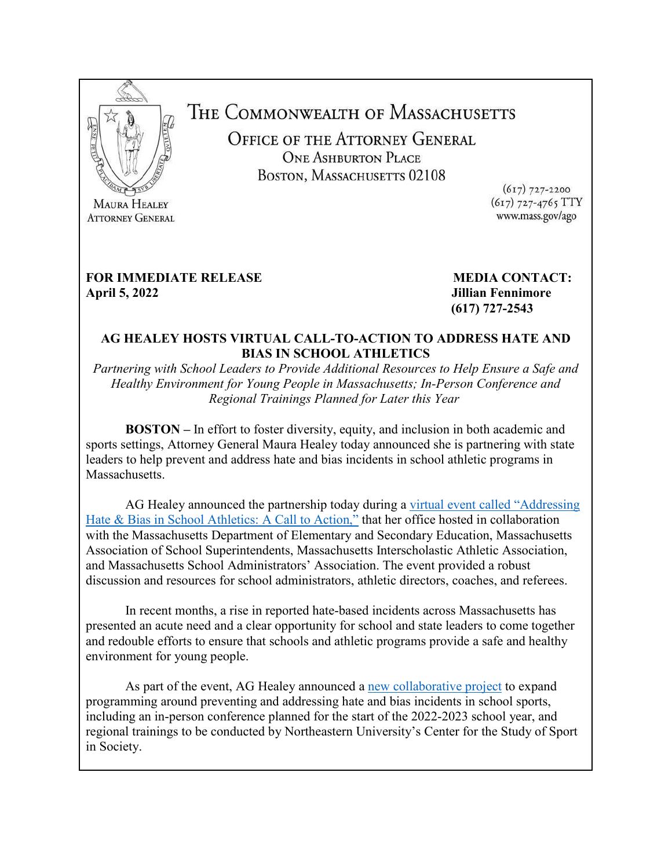

**ATTORNEY GENERAL** 

THE COMMONWEALTH OF MASSACHUSETTS

OFFICE OF THE ATTORNEY GENERAL **ONE ASHBURTON PLACE** BOSTON, MASSACHUSETTS 02108

 $(617)$  727-2200 (617) 727-4765 TTY www.mass.gov/ago

# **FOR IMMEDIATE RELEASE MEDIA CONTACT:**

**April 5, 2022 Jillian Fennimore (617) 727-2543**

# **AG HEALEY HOSTS VIRTUAL CALL-TO-ACTION TO ADDRESS HATE AND BIAS IN SCHOOL ATHLETICS**

*Partnering with School Leaders to Provide Additional Resources to Help Ensure a Safe and Healthy Environment for Young People in Massachusetts; In-Person Conference and Regional Trainings Planned for Later this Year*

**BOSTON** – In effort to foster diversity, equity, and inclusion in both academic and sports settings, Attorney General Maura Healey today announced she is partnering with state leaders to help prevent and address hate and bias incidents in school athletic programs in Massachusetts.

 AG Healey announced the partnership today during a [virtual event called](https://www.facebook.com/MassAttorneyGeneral/videos/360453796003310) "Addressing [Hate & Bias in School Athletics: A Call to Action,"](https://www.facebook.com/MassAttorneyGeneral/videos/360453796003310) that her office hosted in collaboration with the Massachusetts Department of Elementary and Secondary Education, Massachusetts Association of School Superintendents, Massachusetts Interscholastic Athletic Association, and Massachusetts School Administrators' Association. The event provided a robust discussion and resources for school administrators, athletic directors, coaches, and referees.

In recent months, a rise in reported hate-based incidents across Massachusetts has presented an acute need and a clear opportunity for school and state leaders to come together and redouble efforts to ensure that schools and athletic programs provide a safe and healthy environment for young people.

As part of the event, AG Healey announced a [new collaborative project](https://www.mass.gov/service-details/addressing-hate-in-school-sports) to expand programming around preventing and addressing hate and bias incidents in school sports, including an in-person conference planned for the start of the 2022-2023 school year, and regional trainings to be conducted by Northeastern University's Center for the Study of Sport in Society.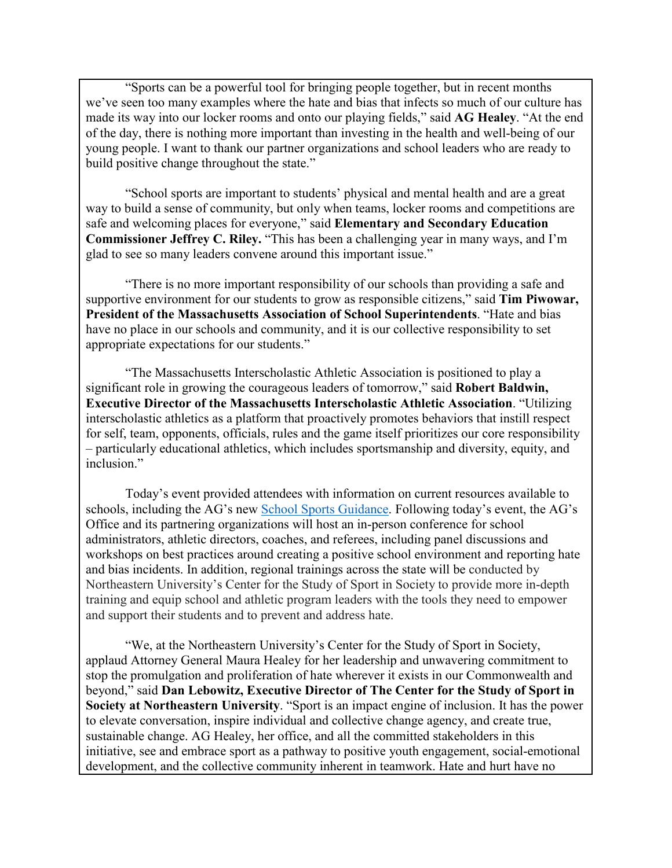"Sports can be a powerful tool for bringing people together, but in recent months we've seen too many examples where the hate and bias that infects so much of our culture has made its way into our locker rooms and onto our playing fields," said **AG Healey**. "At the end of the day, there is nothing more important than investing in the health and well-being of our young people. I want to thank our partner organizations and school leaders who are ready to build positive change throughout the state."

"School sports are important to students' physical and mental health and are a great way to build a sense of community, but only when teams, locker rooms and competitions are safe and welcoming places for everyone," said **Elementary and Secondary Education Commissioner Jeffrey C. Riley.** "This has been a challenging year in many ways, and I'm glad to see so many leaders convene around this important issue."

"There is no more important responsibility of our schools than providing a safe and supportive environment for our students to grow as responsible citizens," said **Tim Piwowar, President of the Massachusetts Association of School Superintendents**. "Hate and bias have no place in our schools and community, and it is our collective responsibility to set appropriate expectations for our students."

"The Massachusetts Interscholastic Athletic Association is positioned to play a significant role in growing the courageous leaders of tomorrow," said **Robert Baldwin, Executive Director of the Massachusetts Interscholastic Athletic Association**. "Utilizing interscholastic athletics as a platform that proactively promotes behaviors that instill respect for self, team, opponents, officials, rules and the game itself prioritizes our core responsibility – particularly educational athletics, which includes sportsmanship and diversity, equity, and inclusion."

Today's event provided attendees with information on current resources available to schools, including the AG's new [School Sports Guidance.](https://www.mass.gov/doc/ago-guidance-on-for-school-athletic-staff-on-hate-incidents/download) Following today's event, the AG's Office and its partnering organizations will host an in-person conference for school administrators, athletic directors, coaches, and referees, including panel discussions and workshops on best practices around creating a positive school environment and reporting hate and bias incidents. In addition, regional trainings across the state will be conducted by Northeastern University's Center for the Study of Sport in Society to provide more in-depth training and equip school and athletic program leaders with the tools they need to empower and support their students and to prevent and address hate.

"We, at the Northeastern University's Center for the Study of Sport in Society, applaud Attorney General Maura Healey for her leadership and unwavering commitment to stop the promulgation and proliferation of hate wherever it exists in our Commonwealth and beyond," said **Dan Lebowitz, Executive Director of The Center for the Study of Sport in Society at Northeastern University**. "Sport is an impact engine of inclusion. It has the power to elevate conversation, inspire individual and collective change agency, and create true, sustainable change. AG Healey, her office, and all the committed stakeholders in this initiative, see and embrace sport as a pathway to positive youth engagement, social-emotional development, and the collective community inherent in teamwork. Hate and hurt have no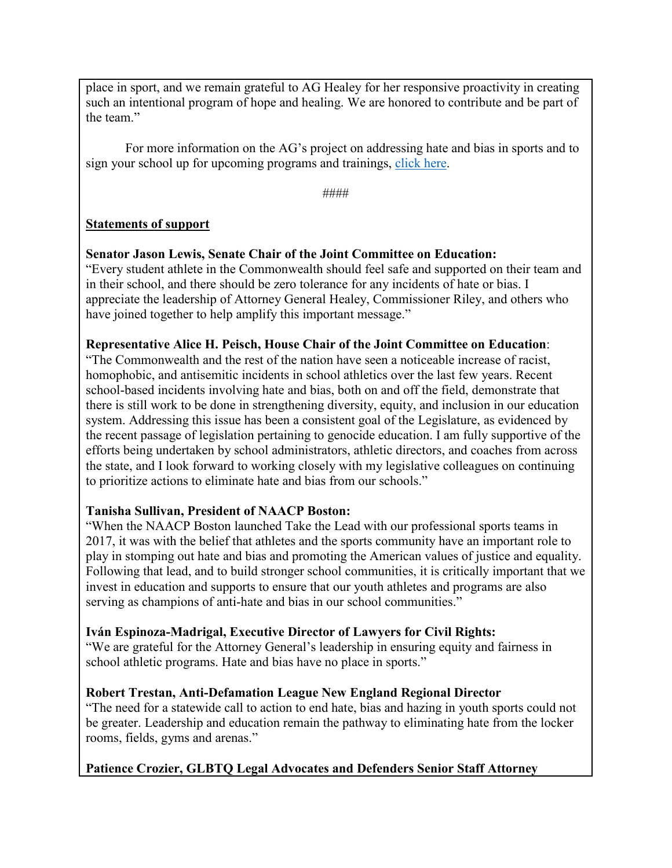place in sport, and we remain grateful to AG Healey for her responsive proactivity in creating such an intentional program of hope and healing. We are honored to contribute and be part of the team."

For more information on the AG's project on addressing hate and bias in sports and to sign your school up for upcoming programs and trainings, [click here.](https://www.mass.gov/service-details/addressing-hate-in-school-sports)

####

# **Statements of support**

**Senator Jason Lewis, Senate Chair of the Joint Committee on Education:** "Every student athlete in the Commonwealth should feel safe and supported on their team and in their school, and there should be zero tolerance for any incidents of hate or bias. I appreciate the leadership of Attorney General Healey, Commissioner Riley, and others who have joined together to help amplify this important message."

# **Representative Alice H. Peisch, House Chair of the Joint Committee on Education**:

"The Commonwealth and the rest of the nation have seen a noticeable increase of racist, homophobic, and antisemitic incidents in school athletics over the last few years. Recent school-based incidents involving hate and bias, both on and off the field, demonstrate that there is still work to be done in strengthening diversity, equity, and inclusion in our education system. Addressing this issue has been a consistent goal of the Legislature, as evidenced by the recent passage of legislation pertaining to genocide education. I am fully supportive of the efforts being undertaken by school administrators, athletic directors, and coaches from across the state, and I look forward to working closely with my legislative colleagues on continuing to prioritize actions to eliminate hate and bias from our schools."

# **Tanisha Sullivan, President of NAACP Boston:**

"When the NAACP Boston launched Take the Lead with our professional sports teams in 2017, it was with the belief that athletes and the sports community have an important role to play in stomping out hate and bias and promoting the American values of justice and equality. Following that lead, and to build stronger school communities, it is critically important that we invest in education and supports to ensure that our youth athletes and programs are also serving as champions of anti-hate and bias in our school communities."

#### **Iván Espinoza-Madrigal, Executive Director of Lawyers for Civil Rights:**

"We are grateful for the Attorney General's leadership in ensuring equity and fairness in school athletic programs. Hate and bias have no place in sports."

#### **Robert Trestan, Anti-Defamation League New England Regional Director**

"The need for a statewide call to action to end hate, bias and hazing in youth sports could not be greater. Leadership and education remain the pathway to eliminating hate from the locker rooms, fields, gyms and arenas."

# **Patience Crozier, GLBTQ Legal Advocates and Defenders Senior Staff Attorney**